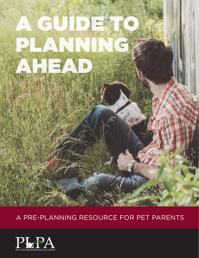# A GUIDE TO ANNIN Ahead

## a pre-planning resource for pet parents

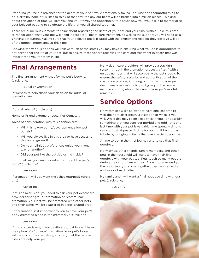Preparing yourself in advance for the death of your pet, while emotionally taxing, is a wise and thoughtful thing to do. Certainly none of us likes to think of that day, the day our heart will be broken into a million pieces. Thinking about this ahead of time will give you and your family the opportunity to discuss how you would like to memorialize your beloved pet and to celebrate the life that you all shared together.

There are numerous elements to think about regarding the death of your pet and your final wishes. Take this time to reflect upon what your pet will need in respectful death care treatment, as well as the support you will need as a grieving pet parent. Making sure that your beloved pet is treated with the dignity and respect they deserve will be of the utmost importance at this time.

Knowing the various options will relieve much of the stress you may have in ensuring what you do is appropriate to not only honor the life of your pet, but to ensure that they are receiving the care and treatment in death that was important to you for them in life.

## **Final Arrangements**

The final arrangement wishes for my pet's body is: (circle one)

Burial or Cremation

Influences to help shape your decision for burial or cremation are:

If burial, where? (circle one)

Home or Friend's Home or Local Pet Cemetery

Areas of consideration with this decision are:

- • Will this town/county/development allow pet burials?
- • Will you always live in this area or have access to this burial ground?
- Do your religious preferences guide you in one way or another?
- Did your pet like the outside or the inside?

For burial, will you want a casket to protect the pet's body? (circle one)

#### yes or no

If cremation, will you want the ashes returned? (circle one)

#### yes or no

If this answer is no, you need to ask your pet deathcare provider for a "group" cremation or "communal" cremation. Your pet will be cremated with other pets and their ashes will be scattered in a designated area.

For cremation, is it important to you to have your pet's body cremated alone in the crematory? (circle one)

#### yes or no

If this answer is yes, many deathcare providers will have the option of a "private" cremation. Your pet's body will be solo in the crematory, ensuring that the returned ashes are only your pet.

Many deathcare providers will provide a tracking system through the cremation process, a "tag" with a unique number that will accompany the pet's body. To ensure the safety, security and authentication of the cremation process, inquiring on this part of your pet deathcare provider's policy will give you the peace of mind in knowing about the care of your pet's mortal remains.

## **Service Options**

Many families will also want to have one last time to visit their pet after death, a visitation or wake, if you will. While this may seem like a trivial thing—or possibly something that you consider morbid and odd—this one last time with your pet is valuable time spent. A time to see your pet at peace. A time for your children to pay tribute by bringing in items that was special to your pet.

A time to begin the grief journey and to say that final goodbye.

Many times, other friends, family members, and other pets in the household will want to have their final goodbye with your pet too. Pets touch so many people during their short lives with us. Allow those around you the opportunity to come together, pay their respects and support each other.

My family and I will want a final goodbye time with our pet: (circle one)

yes or no

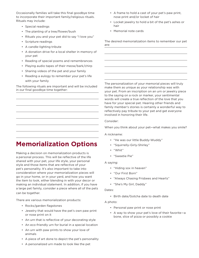Occasionally families will take this final goodbye time to incorporate their important family/religious rituals. Rituals may include:

- • Special readings
- The planting of a tree/flower/bush
- Rituals you and your pet did to say "I love you"
- • Scripture readings
- • A candle-lighting tribute
- • A donation drive for a local shelter in memory of your pet
- • Reading of special poems and remembrances
- • Playing audio tapes of their meow/bark/chirp
- • Sharing videos of the pet and your family
- • Reading a eulogy to remember your pet's life with your family

The following rituals are important and will be included in our final goodbye time together:

### **Memorialization Options**

Making a decision on memorialization products is a personal process. This will be reflective of the life shared with your pet, your life style, your personal style and those items that are reflective of your pet's personality. It's also important to take into consideration where your memorialization pieces will go in your home, or in your yard, and how you want the item to look, either blending in with your decor or making an individual statement. In addition, if you have a large pet family, consider a piece where all of the pets can be together.

There are various memorialization products:

- • Rocks/garden flagstones
- • Jewelry that would have the pet's own paw print or nose print on it
- • An urn that is reflective of your decorating style
- An eco-friendly urn for burial in a special location
- An urn with paw prints to show your love of animals
- • A piece of art done to depict the pet's personality
- • A frame to hold a cast of your pet's paw print, nose print and/or locket of hair
- • Locket jewelry to hold a bit of the pet's ashes or hair
- • Memorial note cards

The desired memorialization items to remember our pet are:

The personalization of your memorial pieces will truly make them as unique as your relationship was with your pet. From an inscription on an urn or jewelry piece to the saying on a rock or marker, your sentimental words will create a true reflection of the love that you have for your special pet. Hearing other friends and family member's stories is certainly a wonderful way to reflectively pay tribute to your pet and get everyone involved in honoring their life.

Consider:

When you think about your pet—what makes you smile?

A nickname:

- "He was our little Buddy-Wuddy"
- • "Squirrelly-Girly-Shirley"
- • "Whit"
- "Sweetie Pie"

A saying:

- • "Hiding sox in heaven"
- • "Our First Born"
- • "Always Chasing Frisbees and Hearts"
- • "She's My Girl, Daddy"

Dates:

• Birth date/Gotcha date to death date

A photo:

- • Personal paw print or nose print
- • A way to show your pet's love of their favorite—a bone, slice of pizza or possibly a cookie

• A personalized urn made to look like the pet